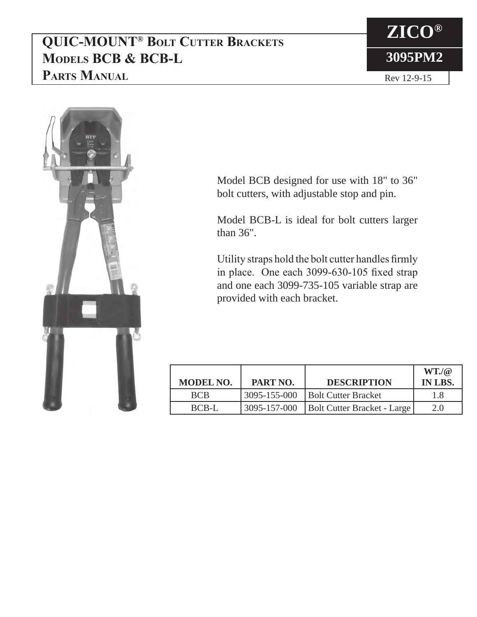## **QUIC-MOUNT® Bolt Cutter Brackets Models BCB & BCB-L Parts Manual**





Model BCB designed for use with 18" to 36" bolt cutters, with adjustable stop and pin.

Model BCB-L is ideal for bolt cutters larger than 36".

Utility straps hold the bolt cutter handles firmly in place. One each 3099-630-105 fixed strap and one each 3099-735-105 variable strap are provided with each bracket.

| <b>MODEL NO.</b> | PART NO.     | <b>DESCRIPTION</b>          | $WT.$ / $@$<br>IN LBS. |
|------------------|--------------|-----------------------------|------------------------|
| <b>BCB</b>       | 3095-155-000 | <b>Bolt Cutter Bracket</b>  | 1.8                    |
| BCB-L            | 3095-157-000 | Bolt Cutter Bracket - Large | 2.0                    |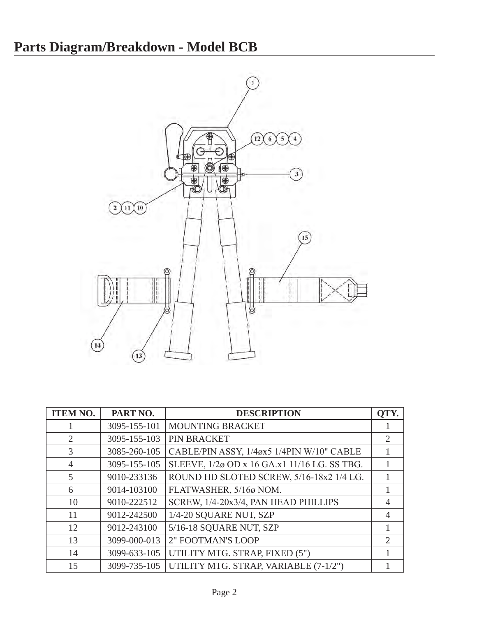

| <b>ITEM NO.</b> | PART NO.     | <b>DESCRIPTION</b>                           | QTY.                        |
|-----------------|--------------|----------------------------------------------|-----------------------------|
|                 | 3095-155-101 | MOUNTING BRACKET                             |                             |
| $\overline{2}$  | 3095-155-103 | PIN BRACKET                                  | $\overline{2}$              |
| 3               | 3085-260-105 | CABLE/PIN ASSY, 1/4øx5 1/4PIN W/10" CABLE    |                             |
| $\overline{4}$  | 3095-155-105 | SLEEVE, 1/2ø OD x 16 GA.x1 11/16 LG. SS TBG. |                             |
| 5               | 9010-233136  | ROUND HD SLOTED SCREW, 5/16-18x2 1/4 LG.     |                             |
| 6               | 9014-103100  | FLATWASHER, 5/16ø NOM.                       |                             |
| 10              | 9010-222512  | SCREW, 1/4-20x3/4, PAN HEAD PHILLIPS         | 4                           |
| 11              | 9012-242500  | 1/4-20 SQUARE NUT, SZP                       | 4                           |
| 12              | 9012-243100  | 5/16-18 SQUARE NUT, SZP                      |                             |
| 13              | 3099-000-013 | 2" FOOTMAN'S LOOP                            | $\mathcal{D}_{\mathcal{L}}$ |
| 14              | 3099-633-105 | UTILITY MTG. STRAP, FIXED (5")               |                             |
| 15              | 3099-735-105 | UTILITY MTG. STRAP, VARIABLE (7-1/2")        |                             |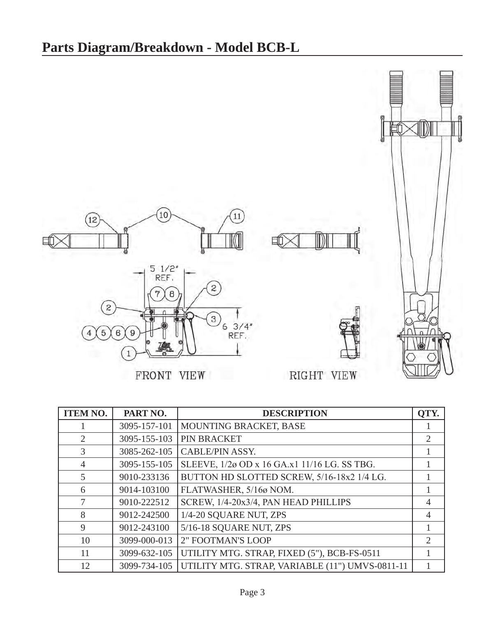

| <b>ITEM NO.</b> | PART NO.     | <b>DESCRIPTION</b>                              | QTY.           |
|-----------------|--------------|-------------------------------------------------|----------------|
|                 | 3095-157-101 | MOUNTING BRACKET, BASE                          |                |
| 2               | 3095-155-103 | PIN BRACKET                                     | $\overline{2}$ |
| 3               | 3085-262-105 | <b>CABLE/PIN ASSY.</b>                          |                |
| $\overline{4}$  | 3095-155-105 | SLEEVE, 1/2ø OD x 16 GA.x1 11/16 LG. SS TBG.    |                |
| 5               | 9010-233136  | BUTTON HD SLOTTED SCREW, 5/16-18x2 1/4 LG.      |                |
| 6               | 9014-103100  | FLATWASHER, 5/16ø NOM.                          |                |
| 7               | 9010-222512  | SCREW, 1/4-20x3/4, PAN HEAD PHILLIPS            | $\overline{4}$ |
| 8               | 9012-242500  | 1/4-20 SQUARE NUT, ZPS                          | $\overline{4}$ |
| 9               | 9012-243100  | 5/16-18 SQUARE NUT, ZPS                         |                |
| 10              | 3099-000-013 | <b>2" FOOTMAN'S LOOP</b>                        | $\overline{2}$ |
| 11              | 3099-632-105 | UTILITY MTG. STRAP, FIXED (5"), BCB-FS-0511     |                |
| 12              | 3099-734-105 | UTILITY MTG. STRAP, VARIABLE (11") UMVS-0811-11 |                |